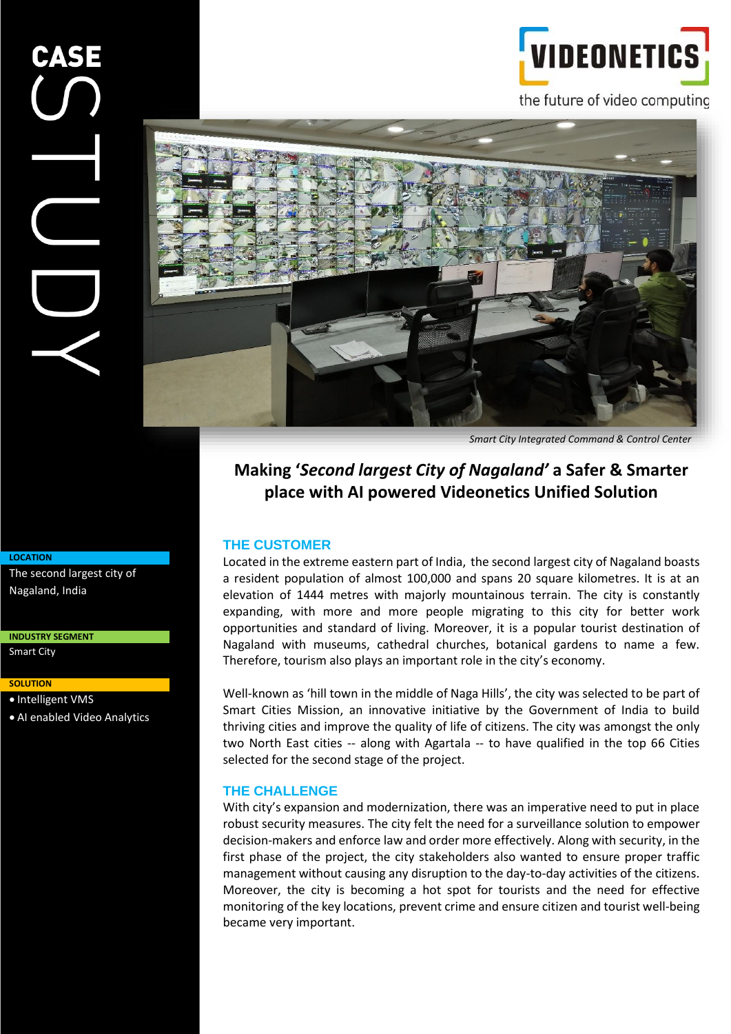the future of video computing

**VIDEONETI** 



*Smart City Integrated Command & Control Center*

# **Making '***Second largest City of Nagaland'* **a Safer & Smarter place with AI powered Videonetics Unified Solution**

#### **THE CUSTOMER**

Located in the extreme eastern part of India, the second largest city of Nagaland boasts a resident population of almost 100,000 and spans 20 square kilometres. It is at an elevation of 1444 metres with majorly mountainous terrain. The city is constantly expanding, with more and more people migrating to this city for better work opportunities and standard of living. Moreover, it is a popular tourist destination of Nagaland with museums, cathedral churches, botanical gardens to name a few. Therefore, tourism also plays an important role in the city's economy.

Well-known as 'hill town in the middle of Naga Hills', the city was selected to be part of Smart Cities Mission, an innovative initiative by the Government of India to build thriving cities and improve the quality of life of citizens. The city was amongst the only two North East cities -- along with Agartala -- to have qualified in the top 66 Cities selected for the second stage of the project.

#### **THE CHALLENGE**

With city's expansion and modernization, there was an imperative need to put in place robust security measures. The city felt the need for a surveillance solution to empower decision-makers and enforce law and order more effectively. Along with security, in the first phase of the project, the city stakeholders also wanted to ensure proper traffic management without causing any disruption to the day-to-day activities of the citizens. Moreover, the city is becoming a hot spot for tourists and the need for effective monitoring of the key locations, prevent crime and ensure citizen and tourist well-being became very important.

#### **LOCATION**

The second largest city of Nagaland, India

**INDUSTRY SEGMENT**

Smart City

#### **SOLUTION**

• Intelligent VMS

• AI enabled Video Analytics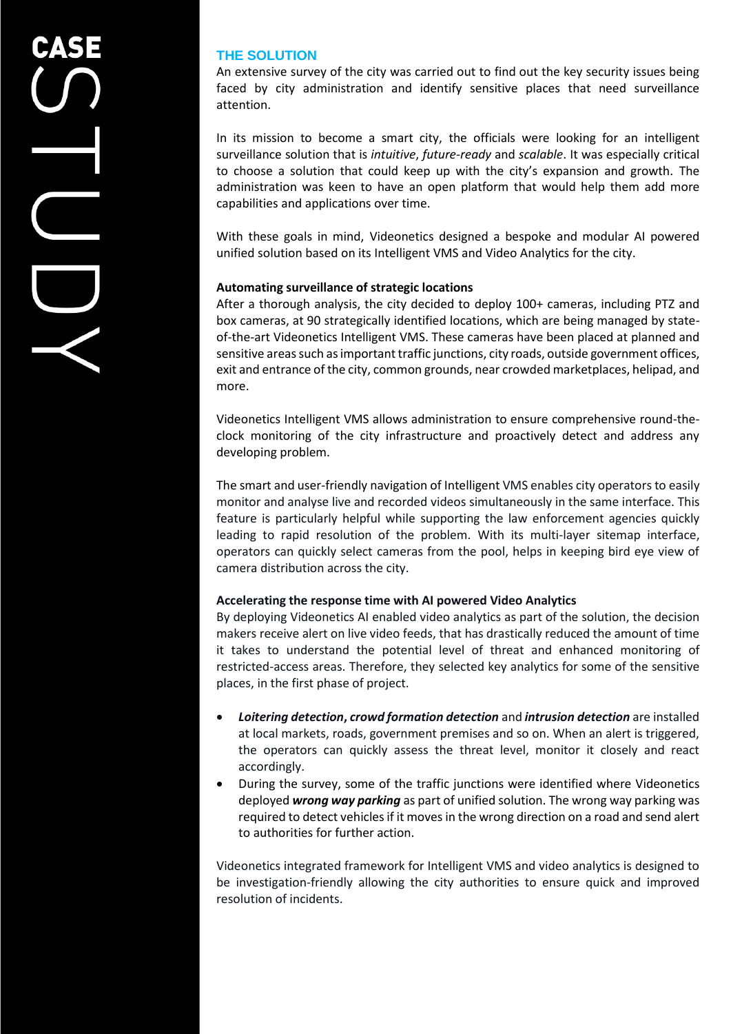## **THE SOLUTION**

An extensive survey of the city was carried out to find out the key security issues being faced by city administration and identify sensitive places that need surveillance attention.

In its mission to become a smart city, the officials were looking for an intelligent surveillance solution that is *intuitive*, *future-ready* and *scalable*. It was especially critical to choose a solution that could keep up with the city's expansion and growth. The administration was keen to have an open platform that would help them add more capabilities and applications over time.

With these goals in mind, Videonetics designed a bespoke and modular AI powered unified solution based on its Intelligent VMS and Video Analytics for the city.

#### **Automating surveillance of strategic locations**

After a thorough analysis, the city decided to deploy 100+ cameras, including PTZ and box cameras, at 90 strategically identified locations, which are being managed by stateof-the-art Videonetics Intelligent VMS. These cameras have been placed at planned and sensitive areas such as important traffic junctions, city roads, outside government offices, exit and entrance of the city, common grounds, near crowded marketplaces, helipad, and more.

Videonetics Intelligent VMS allows administration to ensure comprehensive round-theclock monitoring of the city infrastructure and proactively detect and address any developing problem.

The smart and user-friendly navigation of Intelligent VMS enables city operators to easily monitor and analyse live and recorded videos simultaneously in the same interface. This feature is particularly helpful while supporting the law enforcement agencies quickly leading to rapid resolution of the problem. With its multi-layer sitemap interface, operators can quickly select cameras from the pool, helps in keeping bird eye view of camera distribution across the city.

#### **Accelerating the response time with AI powered Video Analytics**

By deploying Videonetics AI enabled video analytics as part of the solution, the decision makers receive alert on live video feeds, that has drastically reduced the amount of time it takes to understand the potential level of threat and enhanced monitoring of restricted-access areas. Therefore, they selected key analytics for some of the sensitive places, in the first phase of project.

- *Loitering detection***,** *crowd formation detection* and *intrusion detection* are installed at local markets, roads, government premises and so on. When an alert is triggered, the operators can quickly assess the threat level, monitor it closely and react accordingly.
- During the survey, some of the traffic junctions were identified where Videonetics deployed *wrong way parking* as part of unified solution. The wrong way parking was required to detect vehicles if it moves in the wrong direction on a road and send alert to authorities for further action.

Videonetics integrated framework for Intelligent VMS and video analytics is designed to be investigation-friendly allowing the city authorities to ensure quick and improved resolution of incidents.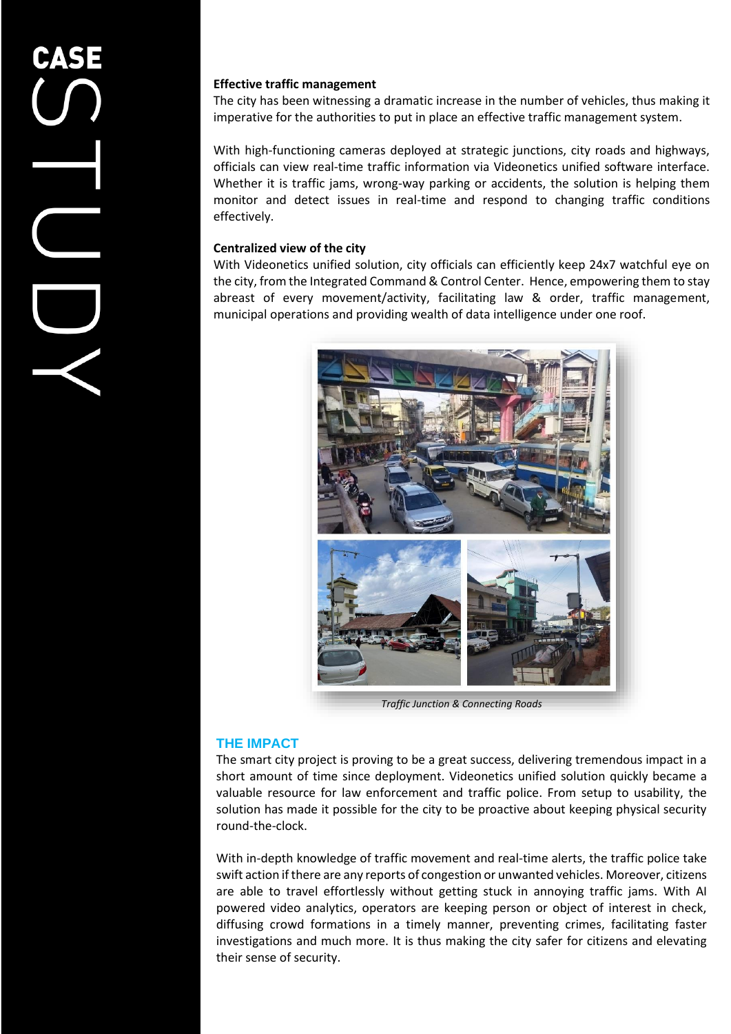#### **Effective traffic management**

The city has been witnessing a dramatic increase in the number of vehicles, thus making it imperative for the authorities to put in place an effective traffic management system.

With high-functioning cameras deployed at strategic junctions, city roads and highways, officials can view real-time traffic information via Videonetics unified software interface. Whether it is traffic jams, wrong-way parking or accidents, the solution is helping them monitor and detect issues in real-time and respond to changing traffic conditions effectively.

### **Centralized view of the city**

With Videonetics unified solution, city officials can efficiently keep 24x7 watchful eye on the city, from the Integrated Command & Control Center. Hence, empowering them to stay abreast of every movement/activity, facilitating law & order, traffic management, municipal operations and providing wealth of data intelligence under one roof.



*Traffic Junction & Connecting Roads* 

### **THE IMPACT**

The smart city project is proving to be a great success, delivering tremendous impact in a short amount of time since deployment. Videonetics unified solution quickly became a valuable resource for law enforcement and traffic police. From setup to usability, the solution has made it possible for the city to be proactive about keeping physical security round-the-clock.

With in-depth knowledge of traffic movement and real-time alerts, the traffic police take swift action if there are any reports of congestion or unwanted vehicles. Moreover, citizens are able to travel effortlessly without getting stuck in annoying traffic jams. With AI powered video analytics, operators are keeping person or object of interest in check, diffusing crowd formations in a timely manner, preventing crimes, facilitating faster investigations and much more. It is thus making the city safer for citizens and elevating their sense of security.